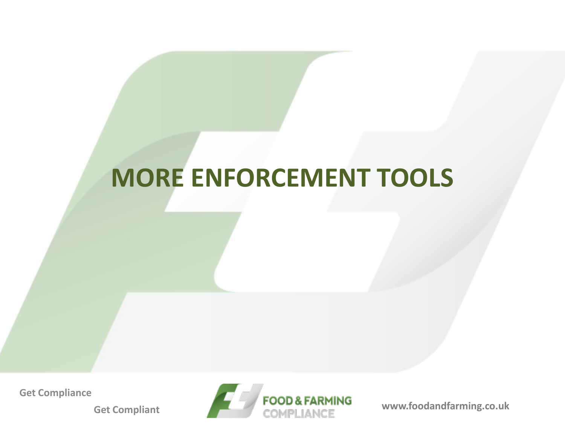## **MORE ENFORCEMENT TOOLS**

**Get Compliance**

**Get Compliant**

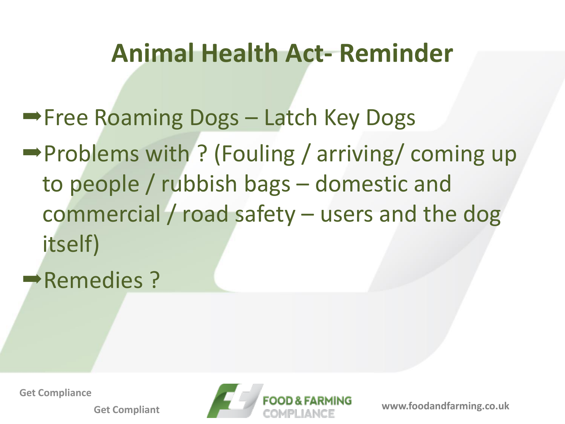### **Animal Health Act- Reminder**

**Free Roaming Dogs - Latch Key Dogs**  $\rightarrow$  Problems with ? (Fouling / arriving/ coming up to people / rubbish bags – domestic and commercial / road safety – users and the dog itself)

Remedies?

**Get Compliance**

**Get Compliant**

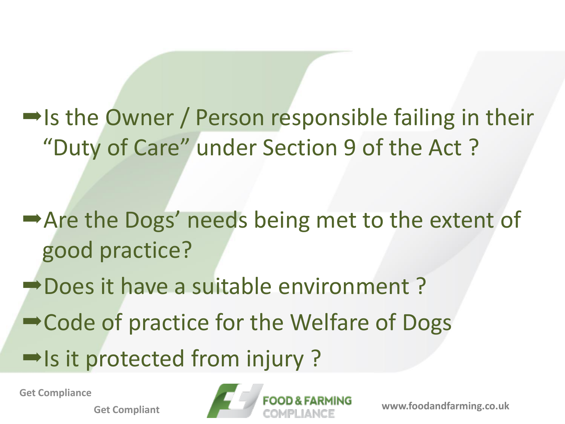$\rightarrow$  Is the Owner / Person responsible failing in their "Duty of Care" under Section 9 of the Act ?

Are the Dogs' needs being met to the extent of good practice?

Does it have a suitable environment?

**→ Code of practice for the Welfare of Dogs** 

 $\rightarrow$  Is it protected from injury ?

**Get Compliance**

**Get Compliant**

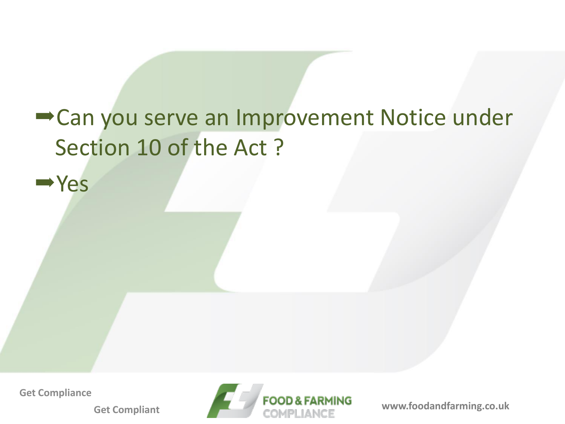## Can you serve an Improvement Notice under Section 10 of the Act ?

**Get Compliance**

Yes

**Get Compliant**

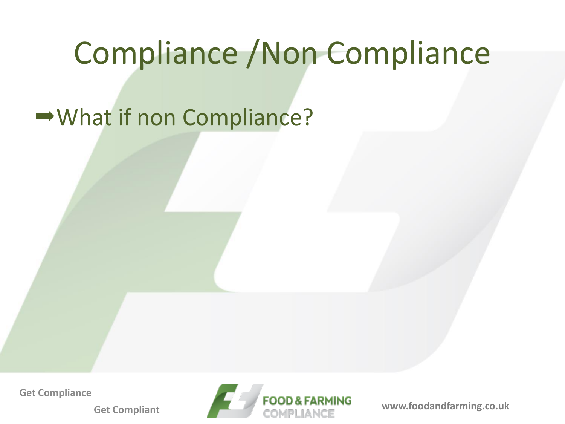# Compliance /Non Compliance

#### What if non Compliance?

**Get Compliance**

**Get Compliant**

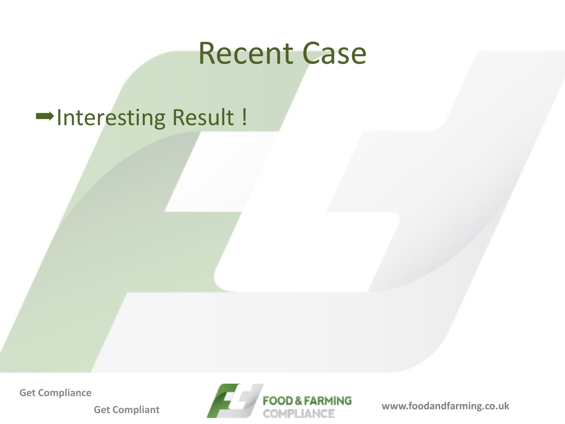# Recent Case

#### Interesting Result !

**Get Compliance**

**Get Compliant**

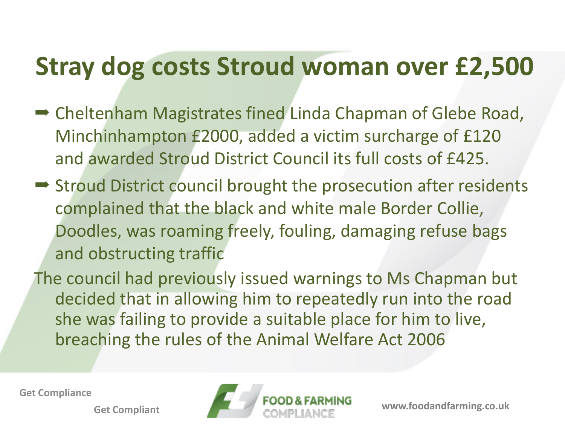# **Stray dog costs Stroud woman over £2,500**

- **→ Cheltenham Magistrates fined Linda Chapman of Glebe Road,** Minchinhampton £2000, added a victim surcharge of £120 and awarded Stroud District Council its full costs of £425.
- $\rightarrow$  Stroud District council brought the prosecution after residents complained that the black and white male Border Collie, Doodles, was roaming freely, fouling, damaging refuse bags and obstructing traffic
- The council had previously issued warnings to Ms Chapman but decided that in allowing him to repeatedly run into the road she was failing to provide a suitable place for him to live, breaching the rules of the Animal Welfare Act 2006

**Get Compliance**

**Get Compliant**